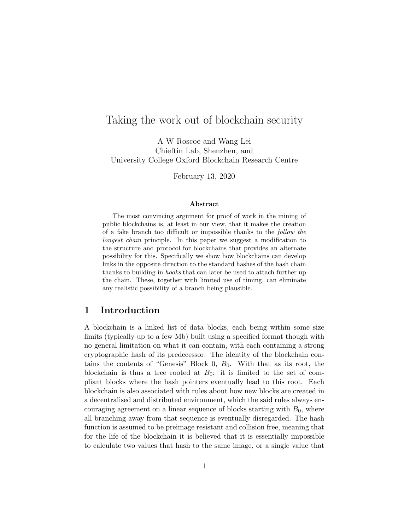# Taking the work out of blockchain security

A W Roscoe and Wang Lei Chieftin Lab, Shenzhen, and University College Oxford Blockchain Research Centre

February 13, 2020

#### Abstract

The most convincing argument for proof of work in the mining of public blockchains is, at least in our view, that it makes the creation of a fake branch too difficult or impossible thanks to the follow the longest chain principle. In this paper we suggest a modification to the structure and protocol for blockchains that provides an alternate possibility for this. Specifically we show how blockchains can develop links in the opposite direction to the standard hashes of the hash chain thanks to building in hooks that can later be used to attach further up the chain. These, together with limited use of timing, can eliminate any realistic possibility of a branch being plausible.

### 1 Introduction

A blockchain is a linked list of data blocks, each being within some size limits (typically up to a few Mb) built using a specified format though with no general limitation on what it can contain, with each containing a strong cryptographic hash of its predecessor. The identity of the blockchain contains the contents of "Genesis" Block  $0, B_0$ . With that as its root, the blockchain is thus a tree rooted at  $B_0$ : it is limited to the set of compliant blocks where the hash pointers eventually lead to this root. Each blockchain is also associated with rules about how new blocks are created in a decentralised and distributed environment, which the said rules always encouraging agreement on a linear sequence of blocks starting with  $B_0$ , where all branching away from that sequence is eventually disregarded. The hash function is assumed to be preimage resistant and collision free, meaning that for the life of the blockchain it is believed that it is essentially impossible to calculate two values that hash to the same image, or a single value that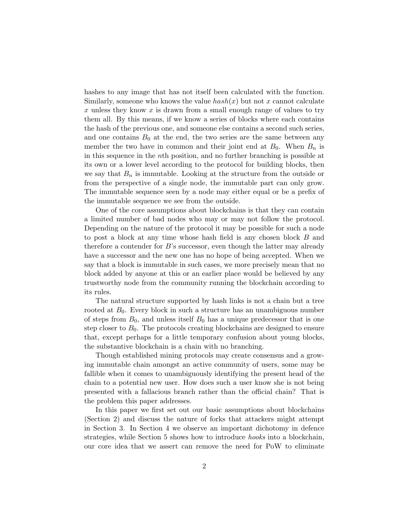hashes to any image that has not itself been calculated with the function. Similarly, someone who knows the value  $hash(x)$  but not x cannot calculate x unless they know x is drawn from a small enough range of values to try them all. By this means, if we know a series of blocks where each contains the hash of the previous one, and someone else contains a second such series, and one contains  $B_0$  at the end, the two series are the same between any member the two have in common and their joint end at  $B_0$ . When  $B_n$  is in this sequence in the nth position, and no further branching is possible at its own or a lower level according to the protocol for building blocks, then we say that  $B_n$  is immutable. Looking at the structure from the outside or from the perspective of a single node, the immutable part can only grow. The immutable sequence seen by a node may either equal or be a prefix of the immutable sequence we see from the outside.

One of the core assumptions about blockchains is that they can contain a limited number of bad nodes who may or may not follow the protocol. Depending on the nature of the protocol it may be possible for such a node to post a block at any time whose hash field is any chosen block B and therefore a contender for  $B$ 's successor, even though the latter may already have a successor and the new one has no hope of being accepted. When we say that a block is immutable in such cases, we more precisely mean that no block added by anyone at this or an earlier place would be believed by any trustworthy node from the community running the blockchain according to its rules.

The natural structure supported by hash links is not a chain but a tree rooted at  $B_0$ . Every block in such a structure has an unambiguous number of steps from  $B_0$ , and unless itself  $B_0$  has a unique predecessor that is one step closer to  $B_0$ . The protocols creating blockchains are designed to ensure that, except perhaps for a little temporary confusion about young blocks, the substantive blockchain is a chain with no branching.

Though established mining protocols may create consensus and a growing immutable chain amongst an active community of users, some may be fallible when it comes to unambiguously identifying the present head of the chain to a potential new user. How does such a user know she is not being presented with a fallacious branch rather than the official chain? That is the problem this paper addresses.

In this paper we first set out our basic assumptions about blockchains (Section 2) and discuss the nature of forks that attackers might attempt in Section 3. In Section 4 we observe an important dichotomy in defence strategies, while Section 5 shows how to introduce hooks into a blockchain, our core idea that we assert can remove the need for PoW to eliminate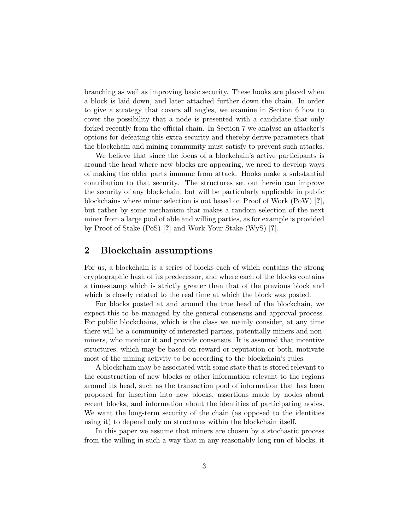branching as well as improving basic security. These hooks are placed when a block is laid down, and later attached further down the chain. In order to give a strategy that covers all angles, we examine in Section 6 how to cover the possibility that a node is presented with a candidate that only forked recently from the official chain. In Section 7 we analyse an attacker's options for defeating this extra security and thereby derive parameters that the blockchain and mining community must satisfy to prevent such attacks.

We believe that since the focus of a blockchain's active participants is around the head where new blocks are appearing, we need to develop ways of making the older parts immune from attack. Hooks make a substantial contribution to that security. The structures set out herein can improve the security of any blockchain, but will be particularly applicable in public blockchains where miner selection is not based on Proof of Work (PoW) [?], but rather by some mechanism that makes a random selection of the next miner from a large pool of able and willing parties, as for example is provided by Proof of Stake (PoS) [?] and Work Your Stake (WyS) [?].

## 2 Blockchain assumptions

For us, a blockchain is a series of blocks each of which contains the strong cryptographic hash of its predecessor, and where each of the blocks contains a time-stamp which is strictly greater than that of the previous block and which is closely related to the real time at which the block was posted.

For blocks posted at and around the true head of the blockchain, we expect this to be managed by the general consensus and approval process. For public blockchains, which is the class we mainly consider, at any time there will be a community of interested parties, potentially miners and nonminers, who monitor it and provide consensus. It is assumed that incentive structures, which may be based on reward or reputation or both, motivate most of the mining activity to be according to the blockchain's rules.

A blockchain may be associated with some state that is stored relevant to the construction of new blocks or other information relevant to the regions around its head, such as the transaction pool of information that has been proposed for insertion into new blocks, assertions made by nodes about recent blocks, and information about the identities of participating nodes. We want the long-term security of the chain (as opposed to the identities using it) to depend only on structures within the blockchain itself.

In this paper we assume that miners are chosen by a stochastic process from the willing in such a way that in any reasonably long run of blocks, it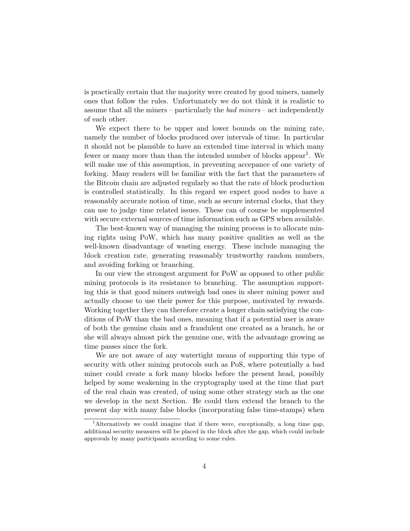is practically certain that the majority were created by good miners, namely ones that follow the rules. Unfortunately we do not think it is realistic to assume that all the miners – particularly the bad miners – act independently of each other.

We expect there to be upper and lower bounds on the mining rate, namely the number of blocks produced over intervals of time. In particular it should not be plausible to have an extended time interval in which many fewer or many more than than the intended number of blocks appear<sup>1</sup>. We will make use of this assumption, in preventing accepance of one variety of forking. Many readers will be familiar with the fact that the parameters of the Bitcoin chain are adjusted regularly so that the rate of block production is controlled statistically. In this regard we expect good nodes to have a reasonably accurate notion of time, such as secure internal clocks, that they can use to judge time related issues. These can of course be supplemented with secure external sources of time information such as GPS when available.

The best-known way of managing the mining process is to allocate mining rights using PoW, which has many positive qualities as well as the well-known disadvantage of wasting energy. These include managing the block creation rate, generating reasonably trustworthy random numbers, and avoiding forking or branching.

In our view the strongest argument for PoW as opposed to other public mining protocols is its resistance to branching. The assumption supporting this is that good miners outweigh bad ones in sheer mining power and actually choose to use their power for this purpose, motivated by rewards. Working together they can therefore create a longer chain satisfying the conditions of PoW than the bad ones, meaning that if a potential user is aware of both the genuine chain and a fraudulent one created as a branch, he or she will always almost pick the genuine one, with the advantage growing as time passes since the fork.

We are not aware of any watertight means of supporting this type of security with other mining protocols such as PoS, where potentially a bad miner could create a fork many blocks before the present head, possibly helped by some weakening in the cryptography used at the time that part of the real chain was created, of using some other strategy such as the one we develop in the next Section. He could then extend the branch to the present day with many false blocks (incorporating false time-stamps) when

<sup>&</sup>lt;sup>1</sup>Alternatively we could imagine that if there were, exceptionally, a long time gap, additional security measures will be placed in the block after the gap, which could include approvals by many participants according to some rules.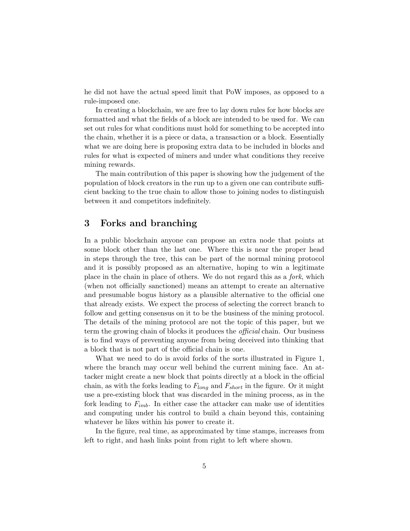he did not have the actual speed limit that PoW imposes, as opposed to a rule-imposed one.

In creating a blockchain, we are free to lay down rules for how blocks are formatted and what the fields of a block are intended to be used for. We can set out rules for what conditions must hold for something to be accepted into the chain, whether it is a piece or data, a transaction or a block. Essentially what we are doing here is proposing extra data to be included in blocks and rules for what is expected of miners and under what conditions they receive mining rewards.

The main contribution of this paper is showing how the judgement of the population of block creators in the run up to a given one can contribute sufficient backing to the true chain to allow those to joining nodes to distinguish between it and competitors indefinitely.

## 3 Forks and branching

In a public blockchain anyone can propose an extra node that points at some block other than the last one. Where this is near the proper head in steps through the tree, this can be part of the normal mining protocol and it is possibly proposed as an alternative, hoping to win a legitimate place in the chain in place of others. We do not regard this as a fork, which (when not officially sanctioned) means an attempt to create an alternative and presumable bogus history as a plausible alternative to the official one that already exists. We expect the process of selecting the correct branch to follow and getting consensus on it to be the business of the mining protocol. The details of the mining protocol are not the topic of this paper, but we term the growing chain of blocks it produces the official chain. Our business is to find ways of preventing anyone from being deceived into thinking that a block that is not part of the official chain is one.

What we need to do is avoid forks of the sorts illustrated in Figure 1, where the branch may occur well behind the current mining face. An attacker might create a new block that points directly at a block in the official chain, as with the forks leading to  $F_{long}$  and  $F_{short}$  in the figure. Or it might use a pre-existing block that was discarded in the mining process, as in the fork leading to  $F_{imb}$ . In either case the attacker can make use of identities and computing under his control to build a chain beyond this, containing whatever he likes within his power to create it.

In the figure, real time, as approximated by time stamps, increases from left to right, and hash links point from right to left where shown.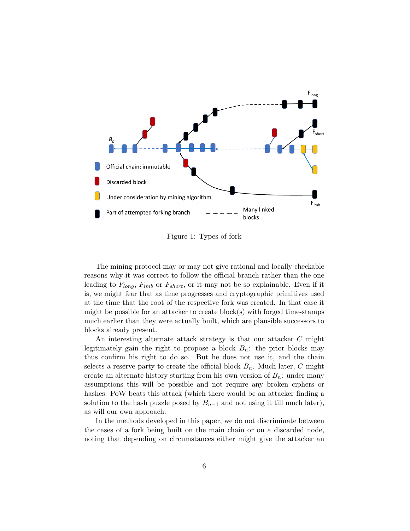

Figure 1: Types of fork

The mining protocol may or may not give rational and locally checkable reasons why it was correct to follow the official branch rather than the one leading to  $F_{long}$ ,  $F_{imb}$  or  $F_{short}$ , or it may not be so explainable. Even if it is, we might fear that as time progresses and cryptographic primitives used at the time that the root of the respective fork was created. In that case it might be possible for an attacker to create block(s) with forged time-stamps much earlier than they were actually built, which are plausible successors to blocks already present.

An interesting alternate attack strategy is that our attacker C might legitimately gain the right to propose a block  $B_n$ : the prior blocks may thus confirm his right to do so. But he does not use it, and the chain selects a reserve party to create the official block  $B_n$ . Much later, C might create an alternate history starting from his own version of  $B_n$ : under many assumptions this will be possible and not require any broken ciphers or hashes. PoW beats this attack (which there would be an attacker finding a solution to the hash puzzle posed by  $B_{n-1}$  and not using it till much later), as will our own approach.

In the methods developed in this paper, we do not discriminate between the cases of a fork being built on the main chain or on a discarded node, noting that depending on circumstances either might give the attacker an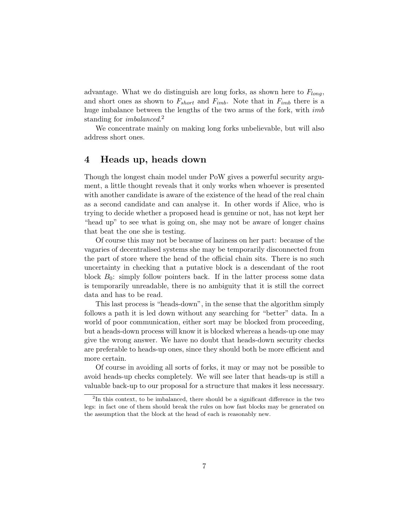advantage. What we do distinguish are long forks, as shown here to  $F_{lona}$ , and short ones as shown to  $F_{short}$  and  $F_{imb}$ . Note that in  $F_{imb}$  there is a huge imbalance between the lengths of the two arms of the fork, with *imb* standing for *imbalanced*.<sup>2</sup>

We concentrate mainly on making long forks unbelievable, but will also address short ones.

# 4 Heads up, heads down

Though the longest chain model under PoW gives a powerful security argument, a little thought reveals that it only works when whoever is presented with another candidate is aware of the existence of the head of the real chain as a second candidate and can analyse it. In other words if Alice, who is trying to decide whether a proposed head is genuine or not, has not kept her "head up" to see what is going on, she may not be aware of longer chains that beat the one she is testing.

Of course this may not be because of laziness on her part: because of the vagaries of decentralised systems she may be temporarily disconnected from the part of store where the head of the official chain sits. There is no such uncertainty in checking that a putative block is a descendant of the root block  $B_0$ : simply follow pointers back. If in the latter process some data is temporarily unreadable, there is no ambiguity that it is still the correct data and has to be read.

This last process is "heads-down", in the sense that the algorithm simply follows a path it is led down without any searching for "better" data. In a world of poor communication, either sort may be blocked from proceeding, but a heads-down process will know it is blocked whereas a heads-up one may give the wrong answer. We have no doubt that heads-down security checks are preferable to heads-up ones, since they should both be more efficient and more certain.

Of course in avoiding all sorts of forks, it may or may not be possible to avoid heads-up checks completely. We will see later that heads-up is still a valuable back-up to our proposal for a structure that makes it less necessary.

<sup>&</sup>lt;sup>2</sup>In this context, to be imbalanced, there should be a significant difference in the two legs: in fact one of them should break the rules on how fast blocks may be generated on the assumption that the block at the head of each is reasonably new.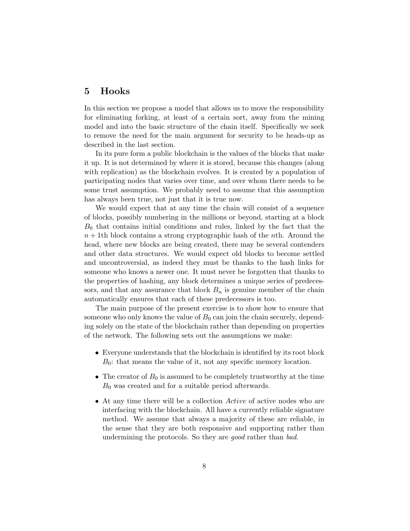# 5 Hooks

In this section we propose a model that allows us to move the responsibility for eliminating forking, at least of a certain sort, away from the mining model and into the basic structure of the chain itself. Specifically we seek to remove the need for the main argument for security to be heads-up as described in the last section.

In its pure form a public blockchain is the values of the blocks that make it up. It is not determined by where it is stored, because this changes (along with replication) as the blockchain evolves. It is created by a population of participating nodes that varies over time, and over whom there needs to be some trust assumption. We probably need to assume that this assumption has always been true, not just that it is true now.

We would expect that at any time the chain will consist of a sequence of blocks, possibly numbering in the millions or beyond, starting at a block  $B_0$  that contains initial conditions and rules, linked by the fact that the  $n + 1$ th block contains a strong cryptographic hash of the *n*th. Around the head, where new blocks are being created, there may be several contenders and other data structures. We would expect old blocks to become settled and uncontroversial, as indeed they must be thanks to the hash links for someone who knows a newer one. It must never be forgotten that thanks to the properties of hashing, any block determines a unique series of predecessors, and that any assurance that block  $B_n$  is genuine member of the chain automatically ensures that each of these predecessors is too.

The main purpose of the present exercise is to show how to ensure that someone who only knows the value of  $B_0$  can join the chain securely, depending solely on the state of the blockchain rather than depending on properties of the network. The following sets out the assumptions we make:

- Everyone understands that the blockchain is identified by its root block  $B_0$ : that means the value of it, not any specific memory location.
- The creator of  $B_0$  is assumed to be completely trustworthy at the time  $B_0$  was created and for a suitable period afterwards.
- At any time there will be a collection Active of active nodes who are interfacing with the blockchain. All have a currently reliable signature method. We assume that always a majority of these are reliable, in the sense that they are both responsive and supporting rather than undermining the protocols. So they are good rather than bad.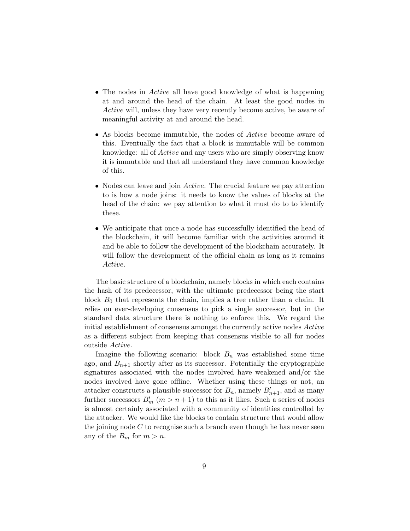- The nodes in *Active* all have good knowledge of what is happening at and around the head of the chain. At least the good nodes in Active will, unless they have very recently become active, be aware of meaningful activity at and around the head.
- As blocks become immutable, the nodes of *Active* become aware of this. Eventually the fact that a block is immutable will be common knowledge: all of Active and any users who are simply observing know it is immutable and that all understand they have common knowledge of this.
- Nodes can leave and join *Active*. The crucial feature we pay attention to is how a node joins: it needs to know the values of blocks at the head of the chain: we pay attention to what it must do to to identify these.
- We anticipate that once a node has successfully identified the head of the blockchain, it will become familiar with the activities around it and be able to follow the development of the blockchain accurately. It will follow the development of the official chain as long as it remains Active.

The basic structure of a blockchain, namely blocks in which each contains the hash of its predecessor, with the ultimate predecessor being the start block  $B_0$  that represents the chain, implies a tree rather than a chain. It relies on ever-developing consensus to pick a single successor, but in the standard data structure there is nothing to enforce this. We regard the initial establishment of consensus amongst the currently active nodes Active as a different subject from keeping that consensus visible to all for nodes outside Active.

Imagine the following scenario: block  $B_n$  was established some time ago, and  $B_{n+1}$  shortly after as its successor. Potentially the cryptographic signatures associated with the nodes involved have weakened and/or the nodes involved have gone offline. Whether using these things or not, an attacker constructs a plausible successor for  $B_n$ , namely  $B'_{n+1}$ , and as many further successors  $B'_m$   $(m > n + 1)$  to this as it likes. Such a series of nodes is almost certainly associated with a community of identities controlled by the attacker. We would like the blocks to contain structure that would allow the joining node  $C$  to recognise such a branch even though he has never seen any of the  $B_m$  for  $m > n$ .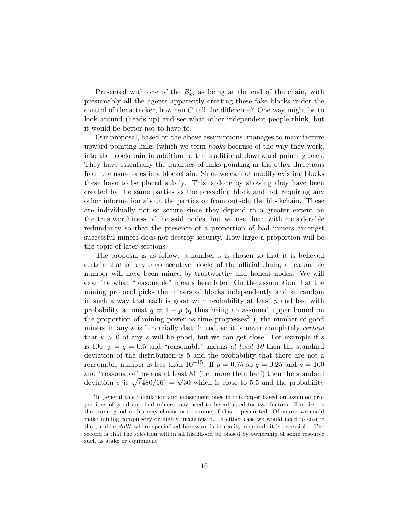Presented with one of the  $B'_m$  as being at the end of the chain, with presumably all the agents apparently creating these fake blocks under the control of the attacker, how can  $C$  tell the difference? One way might be to look around (heads up) and see what other independent people think, but it would be better not to have to.

Our proposal, based on the above assumptions, manages to manufacture upward pointing links (which we term hooks because of the way they work, into the blockchain in addition to the traditional downward pointing ones. They have essentially the qualities of links pointing in the other directions from the usual ones in a blockchain. Since we cannot modify existing blocks these have to be placed subtly. This is done by showing they have been created by the same parties as the preceding block and not requiring any other information about the parties or from outside the blockchain. These are individually not so secure since they depend to a greater extent on the trustworthiness of the said nodes, but we use them with considerable redundancy so that the presence of a proportion of bad miners amongst successful miners does not destroy security. How large a proportion will be the topic of later sections.

The proposal is as follow: a number  $s$  is chosen so that it is believed certain that of any s consecutive blocks of the official chain, a reasonable number will have been mined by trustworthy and honest nodes. We will examine what "reasonable" means here later. On the assumption that the mining protocol picks the miners of blocks independently and at random in such a way that each is good with probability at least  $p$  and bad with probability at most  $q = 1 - p$  (q thus being an assumed upper bound on the proportion of mining power as time progresses<sup>3</sup>), the number of good miners in any  $s$  is binomially distributed, so it is never completely *certain* that  $k > 0$  of any s will be good, but we can get close. For example if s is 100,  $p = q = 0.5$  and "reasonable" means at least 10 then the standard deviation of the distribution is 5 and the probability that there are not a reasonable number is less than  $10^{-15}$ . If  $p = 0.75$  so  $q = 0.25$  and  $s = 160$ and "reasonable" means at least 81 (i.e. more than half) then the standard and reasonable means at least 81 (i.e. more than half) then the standard<br>deviation  $\sigma$  is  $\sqrt{(480/16)} = \sqrt{30}$  which is close to 5.5 and the probability

<sup>&</sup>lt;sup>3</sup>In general this calculation and subsequent ones in this paper based on assumed proportions of good and bad miners may need to be adjusted for two factors. The first is that some good nodes may choose not to mine, if this is permitted. Of course we could make mining compulsory or highly incentivised. In either case we would need to ensure that, unlike PoW where specialised hardware is in reality required, it is accessible. The second is that the selection will in all likelihood be biased by ownership of some resource such as stake or equipment.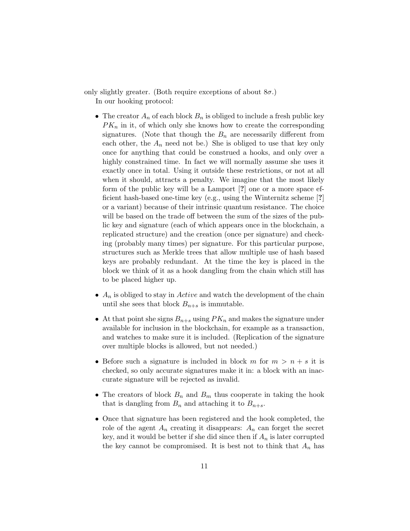only slightly greater. (Both require exceptions of about  $8\sigma$ .) In our hooking protocol:

- The creator  $A_n$  of each block  $B_n$  is obliged to include a fresh public key  $PK_n$  in it, of which only she knows how to create the corresponding signatures. (Note that though the  $B_n$  are necessarily different from each other, the  $A_n$  need not be.) She is obliged to use that key only once for anything that could be construed a hooks, and only over a highly constrained time. In fact we will normally assume she uses it exactly once in total. Using it outside these restrictions, or not at all when it should, attracts a penalty. We imagine that the most likely form of the public key will be a Lamport [?] one or a more space efficient hash-based one-time key (e.g., using the Winternitz scheme [?] or a variant) because of their intrinsic quantum resistance. The choice will be based on the trade off between the sum of the sizes of the public key and signature (each of which appears once in the blockchain, a replicated structure) and the creation (once per signature) and checking (probably many times) per signature. For this particular purpose, structures such as Merkle trees that allow multiple use of hash based keys are probably redundant. At the time the key is placed in the block we think of it as a hook dangling from the chain which still has to be placed higher up.
- $A_n$  is obliged to stay in *Active* and watch the development of the chain until she sees that block  $B_{n+s}$  is immutable.
- At that point she signs  $B_{n+s}$  using  $PK_n$  and makes the signature under available for inclusion in the blockchain, for example as a transaction, and watches to make sure it is included. (Replication of the signature over multiple blocks is allowed, but not needed.)
- Before such a signature is included in block m for  $m > n + s$  it is checked, so only accurate signatures make it in: a block with an inaccurate signature will be rejected as invalid.
- The creators of block  $B_n$  and  $B_m$  thus cooperate in taking the hook that is dangling from  $B_n$  and attaching it to  $B_{n+s}$ .
- Once that signature has been registered and the hook completed, the role of the agent  $A_n$  creating it disappears:  $A_n$  can forget the secret key, and it would be better if she did since then if  $A_n$  is later corrupted the key cannot be compromised. It is best not to think that  $A_n$  has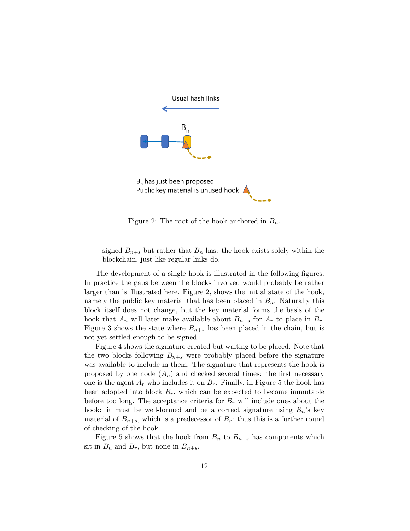

Figure 2: The root of the hook anchored in  $B_n$ .

signed  $B_{n+s}$  but rather that  $B_n$  has: the hook exists solely within the blockchain, just like regular links do.

The development of a single hook is illustrated in the following figures. In practice the gaps between the blocks involved would probably be rather larger than is illustrated here. Figure 2, shows the initial state of the hook, namely the public key material that has been placed in  $B_n$ . Naturally this block itself does not change, but the key material forms the basis of the hook that  $A_n$  will later make available about  $B_{n+s}$  for  $A_r$  to place in  $B_r$ . Figure 3 shows the state where  $B_{n+s}$  has been placed in the chain, but is not yet settled enough to be signed.

Figure 4 shows the signature created but waiting to be placed. Note that the two blocks following  $B_{n+s}$  were probably placed before the signature was available to include in them. The signature that represents the hook is proposed by one node  $(A_n)$  and checked several times: the first necessary one is the agent  $A_r$  who includes it on  $B_r$ . Finally, in Figure 5 the hook has been adopted into block  $B_r$ , which can be expected to become immutable before too long. The acceptance criteria for  $B_r$  will include ones about the hook: it must be well-formed and be a correct signature using  $B_n$ 's key material of  $B_{n+s}$ , which is a predecessor of  $B_r$ : thus this is a further round of checking of the hook.

Figure 5 shows that the hook from  $B_n$  to  $B_{n+s}$  has components which sit in  $B_n$  and  $B_r$ , but none in  $B_{n+s}$ .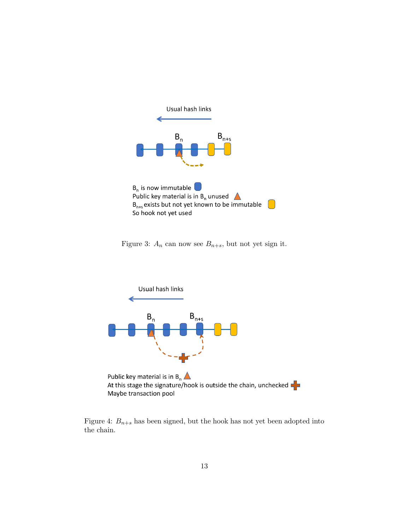

Figure 3:  $A_n$  can now see  $B_{n+s}$ , but not yet sign it.



At this stage the signature/hook is outside the chain, unchecked  $\blacksquare$ Maybe transaction pool

Figure 4:  $B_{n+s}$  has been signed, but the hook has not yet been adopted into the chain.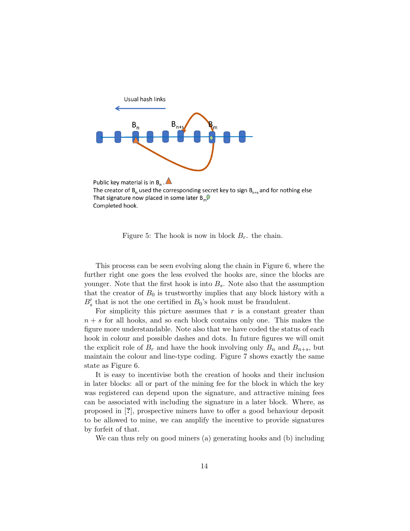

The creator of  $B_n$  used the corresponding secret key to sign  $B_{n+s}$  and for nothing else That signature now placed in some later  $B_m$ . Completed hook.

Figure 5: The hook is now in block  $B_r$ . the chain.

This process can be seen evolving along the chain in Figure 6, where the further right one goes the less evolved the hooks are, since the blocks are younger. Note that the first hook is into  $B_s$ . Note also that the assumption that the creator of  $B_0$  is trustworthy implies that any block history with a  $B'_{s}$  that is not the one certified in  $B_{0}$ 's hook must be fraudulent.

For simplicity this picture assumes that  $r$  is a constant greater than  $n + s$  for all hooks, and so each block contains only one. This makes the figure more understandable. Note also that we have coded the status of each hook in colour and possible dashes and dots. In future figures we will omit the explicit role of  $B_r$  and have the hook involving only  $B_n$  and  $B_{n+s}$ , but maintain the colour and line-type coding. Figure 7 shows exactly the same state as Figure 6.

It is easy to incentivise both the creation of hooks and their inclusion in later blocks: all or part of the mining fee for the block in which the key was registered can depend upon the signature, and attractive mining fees can be associated with including the signature in a later block. Where, as proposed in [?], prospective miners have to offer a good behaviour deposit to be allowed to mine, we can amplify the incentive to provide signatures by forfeit of that.

We can thus rely on good miners (a) generating hooks and (b) including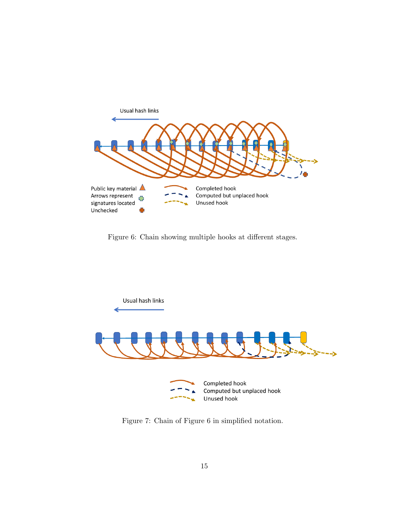

Figure 6: Chain showing multiple hooks at different stages.



Figure 7: Chain of Figure 6 in simplified notation.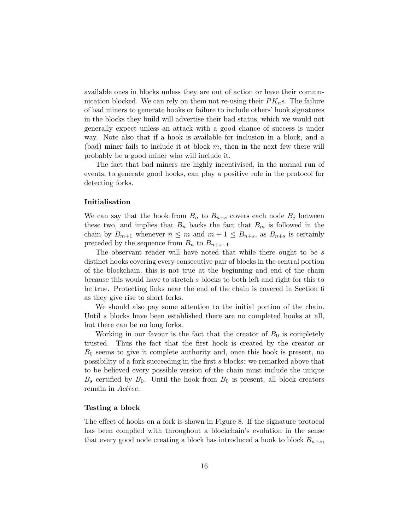available ones in blocks unless they are out of action or have their communication blocked. We can rely on them not re-using their  $PK<sub>n</sub>$ s. The failure of bad miners to generate hooks or failure to include others' hook signatures in the blocks they build will advertise their bad status, which we would not generally expect unless an attack with a good chance of success is under way. Note also that if a hook is available for inclusion in a block, and a (bad) miner fails to include it at block  $m$ , then in the next few there will probably be a good miner who will include it.

The fact that bad miners are highly incentivised, in the normal run of events, to generate good hooks, can play a positive role in the protocol for detecting forks.

#### Initialisation

We can say that the hook from  $B_n$  to  $B_{n+s}$  covers each node  $B_j$  between these two, and implies that  $B_n$  backs the fact that  $B_m$  is followed in the chain by  $B_{m+1}$  whenever  $n \leq m$  and  $m+1 \leq B_{n+s}$ , as  $B_{n+s}$  is certainly preceded by the sequence from  $B_n$  to  $B_{n+s-1}$ .

The observant reader will have noted that while there ought to be s distinct hooks covering every consecutive pair of blocks in the central portion of the blockchain, this is not true at the beginning and end of the chain because this would have to stretch s blocks to both left and right for this to be true. Protecting links near the end of the chain is covered in Section 6 as they give rise to short forks.

We should also pay some attention to the initial portion of the chain. Until s blocks have been established there are no completed hooks at all, but there can be no long forks.

Working in our favour is the fact that the creator of  $B_0$  is completely trusted. Thus the fact that the first hook is created by the creator or  $B_0$  seems to give it complete authority and, once this hook is present, no possibility of a fork succeeding in the first s blocks: we remarked above that to be believed every possible version of the chain must include the unique  $B_s$  certified by  $B_0$ . Until the hook from  $B_0$  is present, all block creators remain in Active.

#### Testing a block

The effect of hooks on a fork is shown in Figure 8. If the signature protocol has been complied with throughout a blockchain's evolution in the sense that every good node creating a block has introduced a hook to block  $B_{n+s}$ ,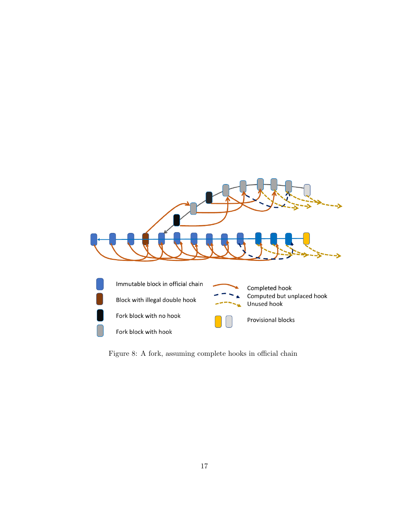

Figure 8: A fork, assuming complete hooks in official chain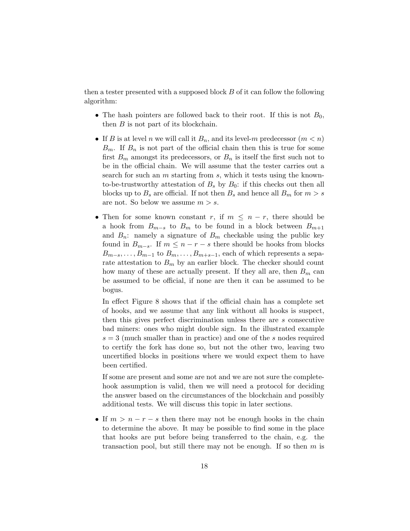then a tester presented with a supposed block  $B$  of it can follow the following algorithm:

- The hash pointers are followed back to their root. If this is not  $B_0$ , then  $B$  is not part of its blockchain.
- If B is at level n we will call it  $B_n$ , and its level-m predecessor  $(m < n)$  $B_m$ . If  $B_n$  is not part of the official chain then this is true for some first  $B_m$  amongst its predecessors, or  $B_n$  is itself the first such not to be in the official chain. We will assume that the tester carries out a search for such an  $m$  starting from  $s$ , which it tests using the knownto-be-trustworthy attestation of  $B_s$  by  $B_0$ : if this checks out then all blocks up to  $B_s$  are official. If not then  $B_s$  and hence all  $B_m$  for  $m > s$ are not. So below we assume  $m > s$ .
- Then for some known constant r, if  $m \leq n-r$ , there should be a hook from  $B_{m-s}$  to  $B_m$  to be found in a block between  $B_{m+1}$ and  $B_n$ : namely a signature of  $B_m$  checkable using the public key found in  $B_{m-s}$ . If  $m \leq n-r-s$  there should be hooks from blocks  $B_{m-s}, \ldots, B_{m-1}$  to  $B_m, \ldots, B_{m+s-1}$ , each of which represents a separate attestation to  $B_m$  by an earlier block. The checker should count how many of these are actually present. If they all are, then  $B_m$  can be assumed to be official, if none are then it can be assumed to be bogus.

In effect Figure 8 shows that if the official chain has a complete set of hooks, and we assume that any link without all hooks is suspect, then this gives perfect discrimination unless there are s consecutive bad miners: ones who might double sign. In the illustrated example  $s = 3$  (much smaller than in practice) and one of the s nodes required to certify the fork has done so, but not the other two, leaving two uncertified blocks in positions where we would expect them to have been certified.

If some are present and some are not and we are not sure the completehook assumption is valid, then we will need a protocol for deciding the answer based on the circumstances of the blockchain and possibly additional tests. We will discuss this topic in later sections.

• If  $m > n - r - s$  then there may not be enough hooks in the chain to determine the above. It may be possible to find some in the place that hooks are put before being transferred to the chain, e.g. the transaction pool, but still there may not be enough. If so then  $m$  is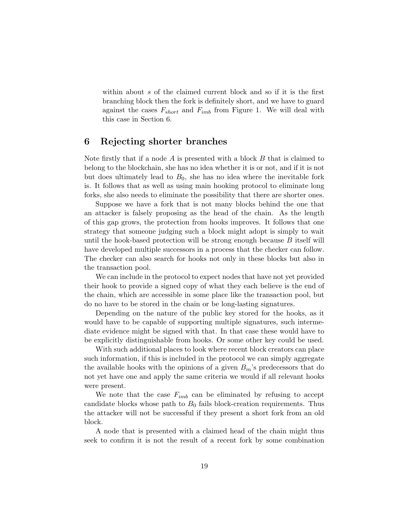within about s of the claimed current block and so if it is the first branching block then the fork is definitely short, and we have to guard against the cases  $F_{short}$  and  $F_{imb}$  from Figure 1. We will deal with this case in Section 6.

### 6 Rejecting shorter branches

Note firstly that if a node  $A$  is presented with a block  $B$  that is claimed to belong to the blockchain, she has no idea whether it is or not, and if it is not but does ultimately lead to  $B_0$ , she has no idea where the inevitable fork is. It follows that as well as using main hooking protocol to eliminate long forks, she also needs to eliminate the possibility that there are shorter ones.

Suppose we have a fork that is not many blocks behind the one that an attacker is falsely proposing as the head of the chain. As the length of this gap grows, the protection from hooks improves. It follows that one strategy that someone judging such a block might adopt is simply to wait until the hook-based protection will be strong enough because B itself will have developed multiple successors in a process that the checker can follow. The checker can also search for hooks not only in these blocks but also in the transaction pool.

We can include in the protocol to expect nodes that have not yet provided their hook to provide a signed copy of what they each believe is the end of the chain, which are accessible in some place like the transaction pool, but do no have to be stored in the chain or be long-lasting signatures.

Depending on the nature of the public key stored for the hooks, as it would have to be capable of supporting multiple signatures, such intermediate evidence might be signed with that. In that case these would have to be explicitly distinguishable from hooks. Or some other key could be used.

With such additional places to look where recent block creators can place such information, if this is included in the protocol we can simply aggregate the available hooks with the opinions of a given  $B_m$ 's predecessors that do not yet have one and apply the same criteria we would if all relevant hooks were present.

We note that the case  $F_{imb}$  can be eliminated by refusing to accept candidate blocks whose path to  $B_0$  fails block-creation requirements. Thus the attacker will not be successful if they present a short fork from an old block.

A node that is presented with a claimed head of the chain might thus seek to confirm it is not the result of a recent fork by some combination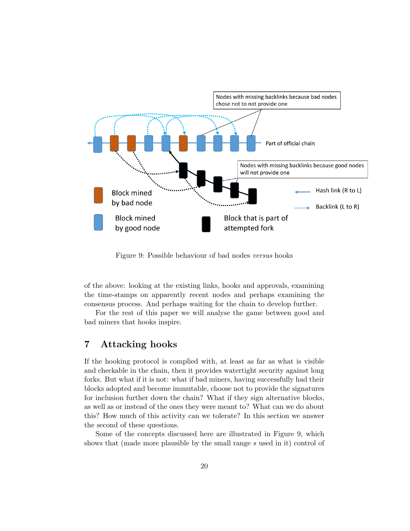

Figure 9: Possible behaviour of bad nodes versus hooks

of the above: looking at the existing links, hooks and approvals, examining the time-stamps on apparently recent nodes and perhaps examining the consensus process. And perhaps waiting for the chain to develop further.

For the rest of this paper we will analyse the game between good and bad miners that hooks inspire.

# 7 Attacking hooks

If the hooking protocol is complied with, at least as far as what is visible and checkable in the chain, then it provides watertight security against long forks. But what if it is not: what if bad miners, having successfully had their blocks adopted and become immutable, choose not to provide the signatures for inclusion further down the chain? What if they sign alternative blocks, as well as or instead of the ones they were meant to? What can we do about this? How much of this activity can we tolerate? In this section we answer the second of these questions.

Some of the concepts discussed here are illustrated in Figure 9, which shows that (made more plausible by the small range s used in it) control of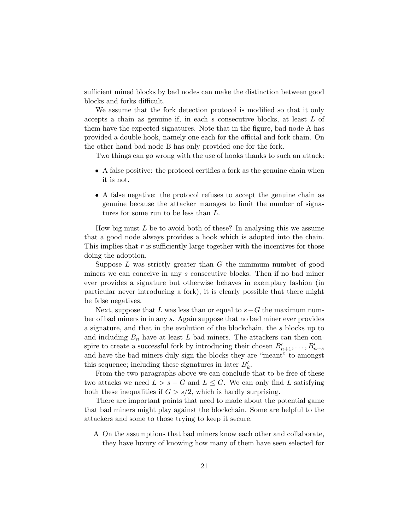sufficient mined blocks by bad nodes can make the distinction between good blocks and forks difficult.

We assume that the fork detection protocol is modified so that it only accepts a chain as genuine if, in each s consecutive blocks, at least L of them have the expected signatures. Note that in the figure, bad node A has provided a double hook, namely one each for the official and fork chain. On the other hand bad node B has only provided one for the fork.

Two things can go wrong with the use of hooks thanks to such an attack:

- A false positive: the protocol certifies a fork as the genuine chain when it is not.
- A false negative: the protocol refuses to accept the genuine chain as genuine because the attacker manages to limit the number of signatures for some run to be less than L.

How big must  $L$  be to avoid both of these? In analysing this we assume that a good node always provides a hook which is adopted into the chain. This implies that  $r$  is sufficiently large together with the incentives for those doing the adoption.

Suppose  $L$  was strictly greater than  $G$  the minimum number of good miners we can conceive in any s consecutive blocks. Then if no bad miner ever provides a signature but otherwise behaves in exemplary fashion (in particular never introducing a fork), it is clearly possible that there might be false negatives.

Next, suppose that L was less than or equal to  $s-G$  the maximum number of bad miners in in any s. Again suppose that no bad miner ever provides a signature, and that in the evolution of the blockchain, the s blocks up to and including  $B_n$  have at least L bad miners. The attackers can then conspire to create a successful fork by introducing their chosen  $B'_{n+1}, \ldots, B'_{n+s}$ and have the bad miners duly sign the blocks they are "meant" to amongst this sequence; including these signatures in later  $B'_k$ .

From the two paragraphs above we can conclude that to be free of these two attacks we need  $L > s - G$  and  $L \leq G$ . We can only find L satisfying both these inequalities if  $G > s/2$ , which is hardly surprising.

There are important points that need to made about the potential game that bad miners might play against the blockchain. Some are helpful to the attackers and some to those trying to keep it secure.

A On the assumptions that bad miners know each other and collaborate, they have luxury of knowing how many of them have seen selected for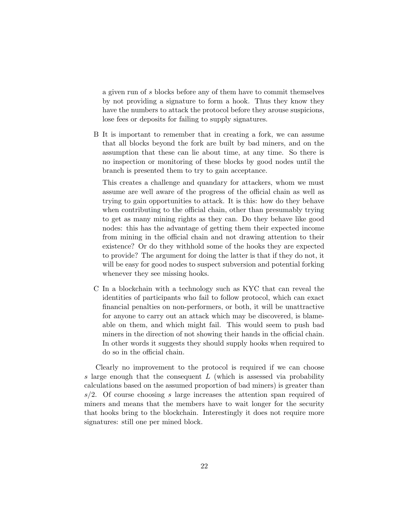a given run of s blocks before any of them have to commit themselves by not providing a signature to form a hook. Thus they know they have the numbers to attack the protocol before they arouse suspicions, lose fees or deposits for failing to supply signatures.

B It is important to remember that in creating a fork, we can assume that all blocks beyond the fork are built by bad miners, and on the assumption that these can lie about time, at any time. So there is no inspection or monitoring of these blocks by good nodes until the branch is presented them to try to gain acceptance.

This creates a challenge and quandary for attackers, whom we must assume are well aware of the progress of the official chain as well as trying to gain opportunities to attack. It is this: how do they behave when contributing to the official chain, other than presumably trying to get as many mining rights as they can. Do they behave like good nodes: this has the advantage of getting them their expected income from mining in the official chain and not drawing attention to their existence? Or do they withhold some of the hooks they are expected to provide? The argument for doing the latter is that if they do not, it will be easy for good nodes to suspect subversion and potential forking whenever they see missing hooks.

C In a blockchain with a technology such as KYC that can reveal the identities of participants who fail to follow protocol, which can exact financial penalties on non-performers, or both, it will be unattractive for anyone to carry out an attack which may be discovered, is blameable on them, and which might fail. This would seem to push bad miners in the direction of not showing their hands in the official chain. In other words it suggests they should supply hooks when required to do so in the official chain.

Clearly no improvement to the protocol is required if we can choose s large enough that the consequent  $L$  (which is assessed via probability calculations based on the assumed proportion of bad miners) is greater than  $s/2$ . Of course choosing s large increases the attention span required of miners and means that the members have to wait longer for the security that hooks bring to the blockchain. Interestingly it does not require more signatures: still one per mined block.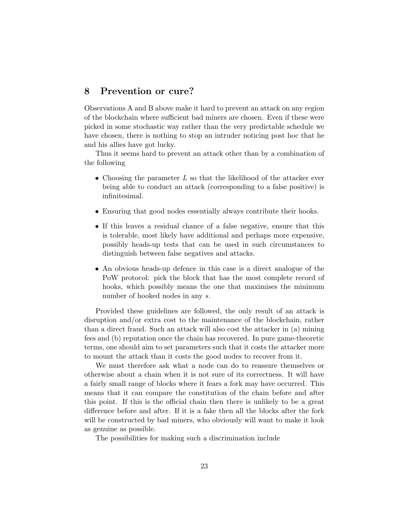# 8 Prevention or cure?

Observations A and B above make it hard to prevent an attack on any region of the blockchain where sufficient bad miners are chosen. Even if these were picked in some stochastic way rather than the very predictable schedule we have chosen, there is nothing to stop an intruder noticing post hoc that he and his allies have got lucky.

Thus it seems hard to prevent an attack other than by a combination of the following

- Choosing the parameter  $L$  so that the likelihood of the attacker ever being able to conduct an attack (corresponding to a false positive) is infinitesimal.
- Ensuring that good nodes essentially always contribute their hooks.
- If this leaves a residual chance of a false negative, ensure that this is tolerable, most likely have additional and perhaps more expensive, possibly heads-up tests that can be used in such circumstances to distinguish between false negatives and attacks.
- An obvious heads-up defence in this case is a direct analogue of the PoW protocol: pick the block that has the most complete record of hooks, which possibly means the one that maximises the minimum number of hooked nodes in any s.

Provided these guidelines are followed, the only result of an attack is disruption and/or extra cost to the maintenance of the blockchain, rather than a direct fraud. Such an attack will also cost the attacker in (a) mining fees and (b) reputation once the chain has recovered. In pure game-theoretic terms, one should aim to set parameters such that it costs the attacker more to mount the attack than it costs the good nodes to recover from it.

We must therefore ask what a node can do to reassure themselves or otherwise about a chain when it is not sure of its correctness. It will have a fairly small range of blocks where it fears a fork may have occurred. This means that it can compare the constitution of the chain before and after this point. If this is the official chain then there is unlikely to be a great difference before and after. If it is a fake then all the blocks after the fork will be constructed by bad miners, who obviously will want to make it look as genuine as possible.

The possibilities for making such a discrimination include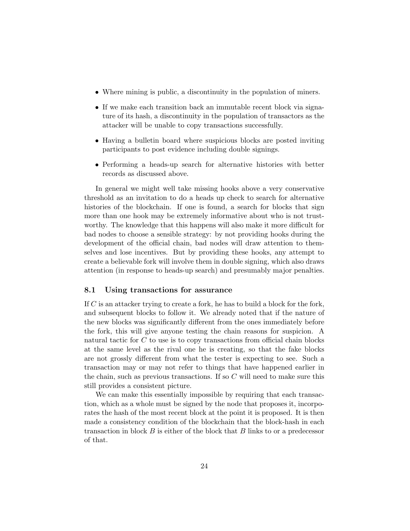- Where mining is public, a discontinuity in the population of miners.
- If we make each transition back an immutable recent block via signature of its hash, a discontinuity in the population of transactors as the attacker will be unable to copy transactions successfully.
- Having a bulletin board where suspicious blocks are posted inviting participants to post evidence including double signings.
- Performing a heads-up search for alternative histories with better records as discussed above.

In general we might well take missing hooks above a very conservative threshold as an invitation to do a heads up check to search for alternative histories of the blockchain. If one is found, a search for blocks that sign more than one hook may be extremely informative about who is not trustworthy. The knowledge that this happens will also make it more difficult for bad nodes to choose a sensible strategy: by not providing hooks during the development of the official chain, bad nodes will draw attention to themselves and lose incentives. But by providing these hooks, any attempt to create a believable fork will involve them in double signing, which also draws attention (in response to heads-up search) and presumably major penalties.

#### 8.1 Using transactions for assurance

If C is an attacker trying to create a fork, he has to build a block for the fork, and subsequent blocks to follow it. We already noted that if the nature of the new blocks was significantly different from the ones immediately before the fork, this will give anyone testing the chain reasons for suspicion. A natural tactic for C to use is to copy transactions from official chain blocks at the same level as the rival one he is creating, so that the fake blocks are not grossly different from what the tester is expecting to see. Such a transaction may or may not refer to things that have happened earlier in the chain, such as previous transactions. If so  $C$  will need to make sure this still provides a consistent picture.

We can make this essentially impossible by requiring that each transaction, which as a whole must be signed by the node that proposes it, incorporates the hash of the most recent block at the point it is proposed. It is then made a consistency condition of the blockchain that the block-hash in each transaction in block  $B$  is either of the block that  $B$  links to or a predecessor of that.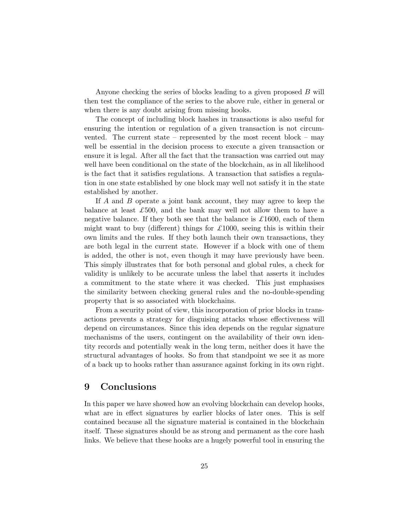Anyone checking the series of blocks leading to a given proposed B will then test the compliance of the series to the above rule, either in general or when there is any doubt arising from missing hooks.

The concept of including block hashes in transactions is also useful for ensuring the intention or regulation of a given transaction is not circumvented. The current state – represented by the most recent block – may well be essential in the decision process to execute a given transaction or ensure it is legal. After all the fact that the transaction was carried out may well have been conditional on the state of the blockchain, as in all likelihood is the fact that it satisfies regulations. A transaction that satisfies a regulation in one state established by one block may well not satisfy it in the state established by another.

If A and B operate a joint bank account, they may agree to keep the balance at least  $\mathcal{L}500$ , and the bank may well not allow them to have a negative balance. If they both see that the balance is  $\pounds 1600$ , each of them might want to buy (different) things for  $\pounds 1000$ , seeing this is within their own limits and the rules. If they both launch their own transactions, they are both legal in the current state. However if a block with one of them is added, the other is not, even though it may have previously have been. This simply illustrates that for both personal and global rules, a check for validity is unlikely to be accurate unless the label that asserts it includes a commitment to the state where it was checked. This just emphasises the similarity between checking general rules and the no-double-spending property that is so associated with blockchains.

From a security point of view, this incorporation of prior blocks in transactions prevents a strategy for disguising attacks whose effectiveness will depend on circumstances. Since this idea depends on the regular signature mechanisms of the users, contingent on the availability of their own identity records and potentially weak in the long term, neither does it have the structural advantages of hooks. So from that standpoint we see it as more of a back up to hooks rather than assurance against forking in its own right.

## 9 Conclusions

In this paper we have showed how an evolving blockchain can develop hooks, what are in effect signatures by earlier blocks of later ones. This is self contained because all the signature material is contained in the blockchain itself. These signatures should be as strong and permanent as the core hash links. We believe that these hooks are a hugely powerful tool in ensuring the